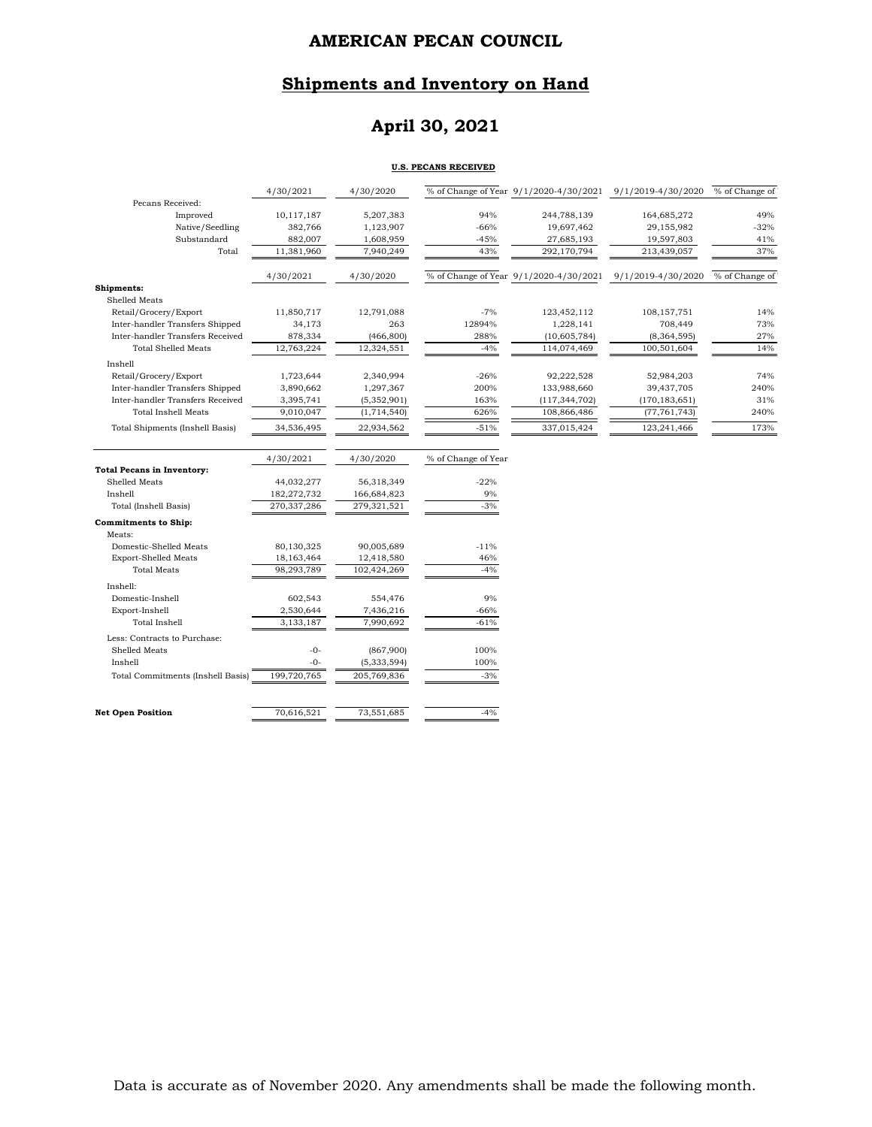### **Shipments and Inventory on Hand**

# **April 30, 2021**

#### **U.S. PECANS RECEIVED**

|                                   | 4/30/2021   | 4/30/2020     |                     |                                        | % of Change of Year 9/1/2020-4/30/2021 9/1/2019-4/30/2020 | % of Change of |
|-----------------------------------|-------------|---------------|---------------------|----------------------------------------|-----------------------------------------------------------|----------------|
| Pecans Received:                  |             |               |                     |                                        |                                                           |                |
| Improved                          | 10,117,187  | 5,207,383     | 94%                 | 244,788,139                            | 164,685,272                                               | 49%            |
| Native/Seedling                   | 382,766     | 1,123,907     | $-66%$              | 19,697,462                             | 29,155,982                                                | $-32%$         |
| Substandard                       | 882,007     | 1,608,959     | $-45%$              | 27,685,193                             | 19,597,803                                                | 41%            |
| Total                             | 11,381,960  | 7,940,249     | 43%                 | 292,170,794                            | 213,439,057                                               | 37%            |
|                                   | 4/30/2021   | 4/30/2020     |                     | % of Change of Year 9/1/2020-4/30/2021 | 9/1/2019-4/30/2020                                        | % of Change of |
| Shipments:                        |             |               |                     |                                        |                                                           |                |
| <b>Shelled Meats</b>              |             |               |                     |                                        |                                                           |                |
| Retail/Grocery/Export             | 11,850,717  | 12,791,088    | $-7%$               | 123,452,112                            | 108,157,751                                               | 14%            |
| Inter-handler Transfers Shipped   | 34,173      | 263           | 12894%              | 1,228,141                              | 708,449                                                   | 73%            |
| Inter-handler Transfers Received  | 878,334     | (466, 800)    | 288%                | (10,605,784)                           | (8,364,595)                                               | 27%            |
| <b>Total Shelled Meats</b>        | 12,763,224  | 12,324,551    | $-4%$               | 114,074,469                            | 100,501,604                                               | 14%            |
| Inshell                           |             |               |                     |                                        |                                                           |                |
| Retail/Grocery/Export             | 1,723,644   | 2,340,994     | $-26%$              | 92,222,528                             | 52,984,203                                                | 74%            |
| Inter-handler Transfers Shipped   | 3,890,662   | 1,297,367     | 200%                | 133,988,660                            | 39,437,705                                                | 240%           |
| Inter-handler Transfers Received  | 3,395,741   | (5,352,901)   | 163%                | (117, 344, 702)                        | (170, 183, 651)                                           | 31%            |
| <b>Total Inshell Meats</b>        | 9,010,047   | (1,714,540)   | 626%                | 108,866,486                            | (77, 761, 743)                                            | 240%           |
| Total Shipments (Inshell Basis)   | 34,536,495  | 22,934,562    | $-51%$              | 337,015,424                            | 123,241,466                                               | 173%           |
|                                   |             |               |                     |                                        |                                                           |                |
|                                   |             | 4/30/2020     | % of Change of Year |                                        |                                                           |                |
|                                   | 4/30/2021   |               |                     |                                        |                                                           |                |
| <b>Total Pecans in Inventory:</b> |             |               |                     |                                        |                                                           |                |
| Shelled Meats                     | 44,032,277  | 56,318,349    | $-22%$              |                                        |                                                           |                |
| Inshell                           | 182,272,732 | 166,684,823   | 9%                  |                                        |                                                           |                |
| Total (Inshell Basis)             | 270,337,286 | 279,321,521   | $-3%$               |                                        |                                                           |                |
| <b>Commitments to Ship:</b>       |             |               |                     |                                        |                                                           |                |
| Meats:                            |             |               |                     |                                        |                                                           |                |
| Domestic-Shelled Meats            | 80,130,325  | 90,005,689    | $-11%$              |                                        |                                                           |                |
| <b>Export-Shelled Meats</b>       | 18,163,464  | 12,418,580    | 46%                 |                                        |                                                           |                |
| <b>Total Meats</b>                | 98,293,789  | 102,424,269   | $-4%$               |                                        |                                                           |                |
| Inshell:                          |             |               |                     |                                        |                                                           |                |
| Domestic-Inshell                  | 602,543     | 554,476       | 9%                  |                                        |                                                           |                |
| Export-Inshell                    | 2,530,644   | 7,436,216     | $-66%$              |                                        |                                                           |                |
| <b>Total Inshell</b>              | 3,133,187   | 7,990,692     | $-61%$              |                                        |                                                           |                |
| Less: Contracts to Purchase:      |             |               |                     |                                        |                                                           |                |
| Shelled Meats                     | $-0-$       | (867,900)     | 100%                |                                        |                                                           |                |
| Inshell                           | $-0-$       | (5, 333, 594) | 100%                |                                        |                                                           |                |
| Total Commitments (Inshell Basis) | 199,720,765 | 205,769,836   | $-3%$               |                                        |                                                           |                |

**Net Open Position** 70,616,521 73,551,685 -4%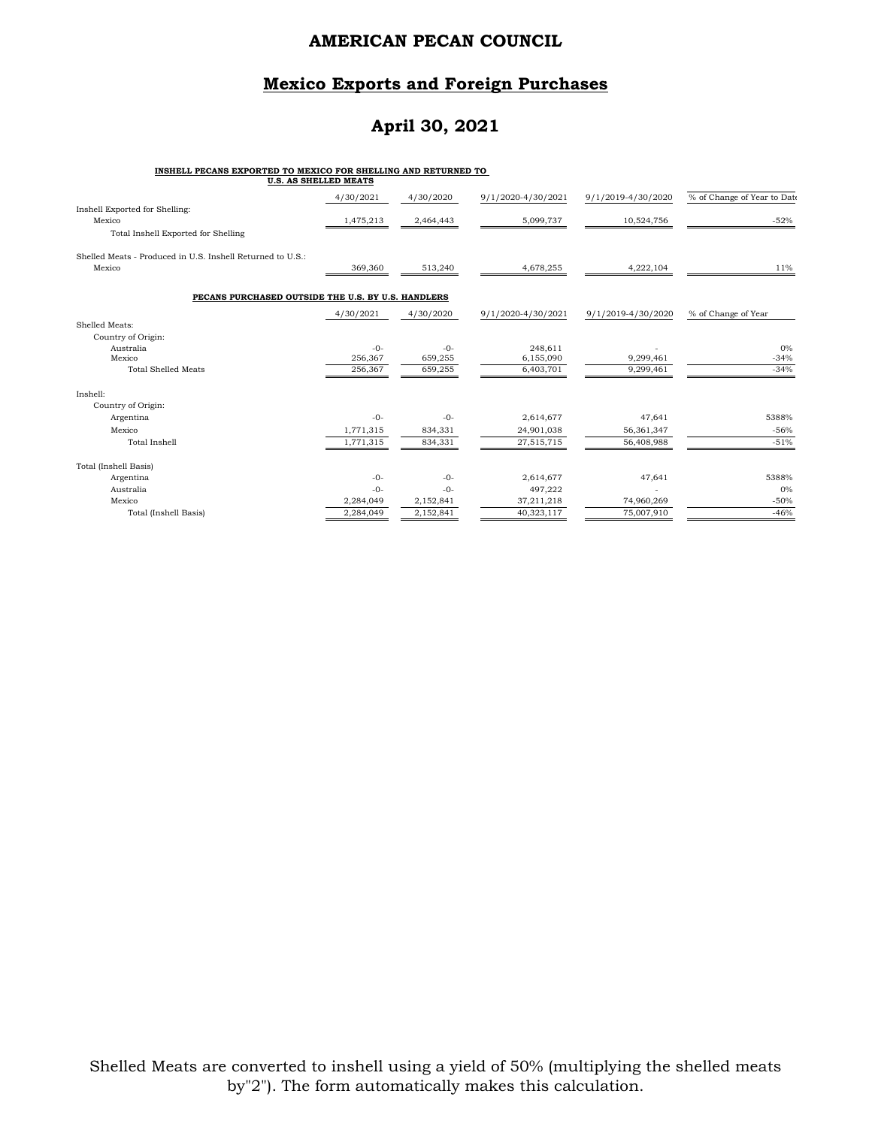### **Mexico Exports and Foreign Purchases**

# **April 30, 2021**

#### **INSHELL PECANS EXPORTED TO MEXICO FOR SHELLING AND RETURNED TO**

|                                                            | 4/30/2021 | 4/30/2020 | 9/1/2020-4/30/2021 | 9/1/2019-4/30/2020 | % of Change of Year to Date |
|------------------------------------------------------------|-----------|-----------|--------------------|--------------------|-----------------------------|
| Inshell Exported for Shelling:<br>Mexico                   | 1,475,213 | 2,464,443 | 5,099,737          | 10,524,756         | $-52%$                      |
| Total Inshell Exported for Shelling                        |           |           |                    |                    |                             |
| Shelled Meats - Produced in U.S. Inshell Returned to U.S.: |           |           |                    |                    |                             |
| Mexico                                                     | 369,360   | 513,240   | 4,678,255          | 4,222,104          | 11%                         |
| PECANS PURCHASED OUTSIDE THE U.S. BY U.S. HANDLERS         |           |           |                    |                    |                             |
|                                                            | 4/30/2021 | 4/30/2020 | 9/1/2020-4/30/2021 | 9/1/2019-4/30/2020 | % of Change of Year         |
| Shelled Meats:                                             |           |           |                    |                    |                             |
| Country of Origin:                                         |           |           |                    |                    |                             |
| Australia                                                  | $-0-$     | $-0-$     | 248,611            |                    | $0\%$                       |
| Mexico                                                     | 256,367   | 659,255   | 6,155,090          | 9,299,461          | $-34%$                      |
| <b>Total Shelled Meats</b>                                 | 256,367   | 659,255   | 6,403,701          | 9,299,461          | $-34%$                      |
| Inshell:                                                   |           |           |                    |                    |                             |
| Country of Origin:                                         |           |           |                    |                    |                             |
| Argentina                                                  | $-0-$     | $-0-$     | 2,614,677          | 47,641             | 5388%                       |
| Mexico                                                     | 1,771,315 | 834,331   | 24,901,038         | 56,361,347         | $-56%$                      |
| <b>Total Inshell</b>                                       | 1,771,315 | 834,331   | 27,515,715         | 56,408,988         | $-51%$                      |
| Total (Inshell Basis)                                      |           |           |                    |                    |                             |
| Argentina                                                  | $-0-$     | $-0-$     | 2,614,677          | 47,641             | 5388%                       |
| Australia                                                  | $-0-$     | $-0-$     | 497,222            |                    | 0%                          |
| Mexico                                                     | 2,284,049 | 2,152,841 | 37,211,218         | 74,960,269         | $-50%$                      |
| Total (Inshell Basis)                                      | 2,284,049 | 2,152,841 | 40,323,117         | 75,007,910         | $-46%$                      |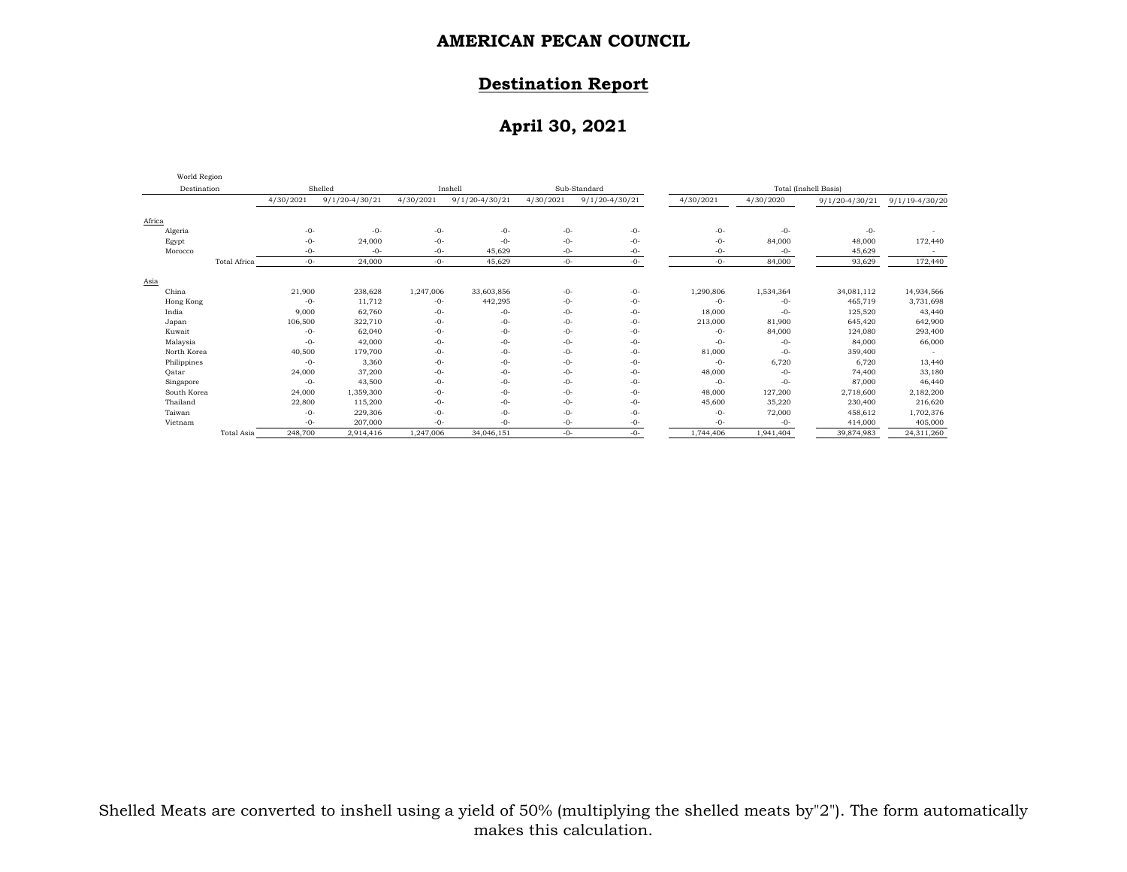### **Destination Report**

# **April 30, 2021**

| World Region |                     |           |                    |           |                    |           |                    |                       |           |                    |                    |  |
|--------------|---------------------|-----------|--------------------|-----------|--------------------|-----------|--------------------|-----------------------|-----------|--------------------|--------------------|--|
| Destination  |                     |           | Shelled            |           | Inshell            |           | Sub-Standard       | Total (Inshell Basis) |           |                    |                    |  |
|              |                     | 4/30/2021 | $9/1/20 - 4/30/21$ | 4/30/2021 | $9/1/20 - 4/30/21$ | 4/30/2021 | $9/1/20 - 4/30/21$ | 4/30/2021             | 4/30/2020 | $9/1/20 - 4/30/21$ | $9/1/19 - 4/30/20$ |  |
| Africa       |                     |           |                    |           |                    |           |                    |                       |           |                    |                    |  |
| Algeria      |                     | $-0-$     | $-0-$              | $-0-$     | $-0-$              | $-0-$     | $-0-$              | $-0-$                 | $-0-$     | $-0-$              |                    |  |
| Egypt        |                     | $-0-$     | 24,000             | $-0-$     | $-0-$              | $-0-$     | $-0-$              | $-0-$                 | 84,000    | 48,000             | 172,440            |  |
| Morocco      |                     | $-0-$     | $-0-$              | $-0-$     | 45,629             | $-0-$     | -0-                | $-0-$                 | $-0-$     | 45,629             |                    |  |
|              | <b>Total Africa</b> | $-0-$     | 24,000             | $-0-$     | 45,629             | $-0-$     | -0-                | $-0-$                 | 84,000    | 93,629             | 172,440            |  |
| Asia         |                     |           |                    |           |                    |           |                    |                       |           |                    |                    |  |
| China        |                     | 21,900    | 238,628            | 1,247,006 | 33,603,856         | $-0-$     | $-0-$              | 1,290,806             | 1,534,364 | 34,081,112         | 14,934,566         |  |
| Hong Kong    |                     | $-0-$     | 11,712             | $-0-$     | 442,295            | $-0-$     | $-0-$              | $-0-$                 | $-0-$     | 465,719            | 3,731,698          |  |
| India        |                     | 9,000     | 62,760             | $-0-$     | -0-                | $-0-$     | -0-                | 18,000                | $-0-$     | 125,520            | 43,440             |  |
| Japan        |                     | 106,500   | 322,710            | $-0-$     | $-0-$              | $-0-$     | -0-                | 213,000               | 81,900    | 645,420            | 642,900            |  |
| Kuwait       |                     | $-0-$     | 62,040             | $-0-$     | $-0-$              | $-0-$     | $-0-$              | $-0-$                 | 84,000    | 124,080            | 293,400            |  |
| Malaysia     |                     | $-0-$     | 42,000             | $-0-$     | $-0-$              | $-0-$     | $-0-$              | $-0-$                 | $-0-$     | 84,000             | 66,000             |  |
| North Korea  |                     | 40,500    | 179,700            | $-0-$     | $-0-$              | $-0-$     | -0-                | 81,000                | $-0-$     | 359,400            |                    |  |
| Philippines  |                     | $-0-$     | 3,360              | $-0-$     | $-0-$              | $-0-$     | $-0-$              | $-0-$                 | 6,720     | 6,720              | 13,440             |  |
| Oatar        |                     | 24,000    | 37,200             | $-0-$     | $-0-$              | $-0-$     | -0-                | 48,000                | $-0-$     | 74,400             | 33,180             |  |
| Singapore    |                     | $-0-$     | 43,500             | $-0-$     | -0-                | $-0-$     | -0-                | $-0-$                 | $-0-$     | 87,000             | 46,440             |  |
| South Korea  |                     | 24,000    | 1,359,300          | $-0-$     | $-0-$              | $-0-$     | -0-                | 48,000                | 127,200   | 2,718,600          | 2,182,200          |  |
| Thailand     |                     | 22,800    | 115,200            | $-0-$     | $-0-$              | $-0-$     | -0-                | 45,600                | 35,220    | 230,400            | 216,620            |  |
| Taiwan       |                     | $-0-$     | 229,306            | $-0-$     | -0-                | $-0-$     | $-0-$              | $-0-$                 | 72,000    | 458,612            | 1,702,376          |  |
| Vietnam      |                     | $-0-$     | 207,000            | -0-       | $-0-$              | $-0-$     | $-0-$              | $-0-$                 | $-0-$     | 414,000            | 405,000            |  |
|              | Total Asia          | 248,700   | 2,914,416          | 1,247,006 | 34,046,151         | $-0-$     | $-0-$              | 1,744,406             | 1,941,404 | 39,874,983         | 24,311,260         |  |

Shelled Meats are converted to inshell using a yield of 50% (multiplying the shelled meats by"2"). The form automatically makes this calculation.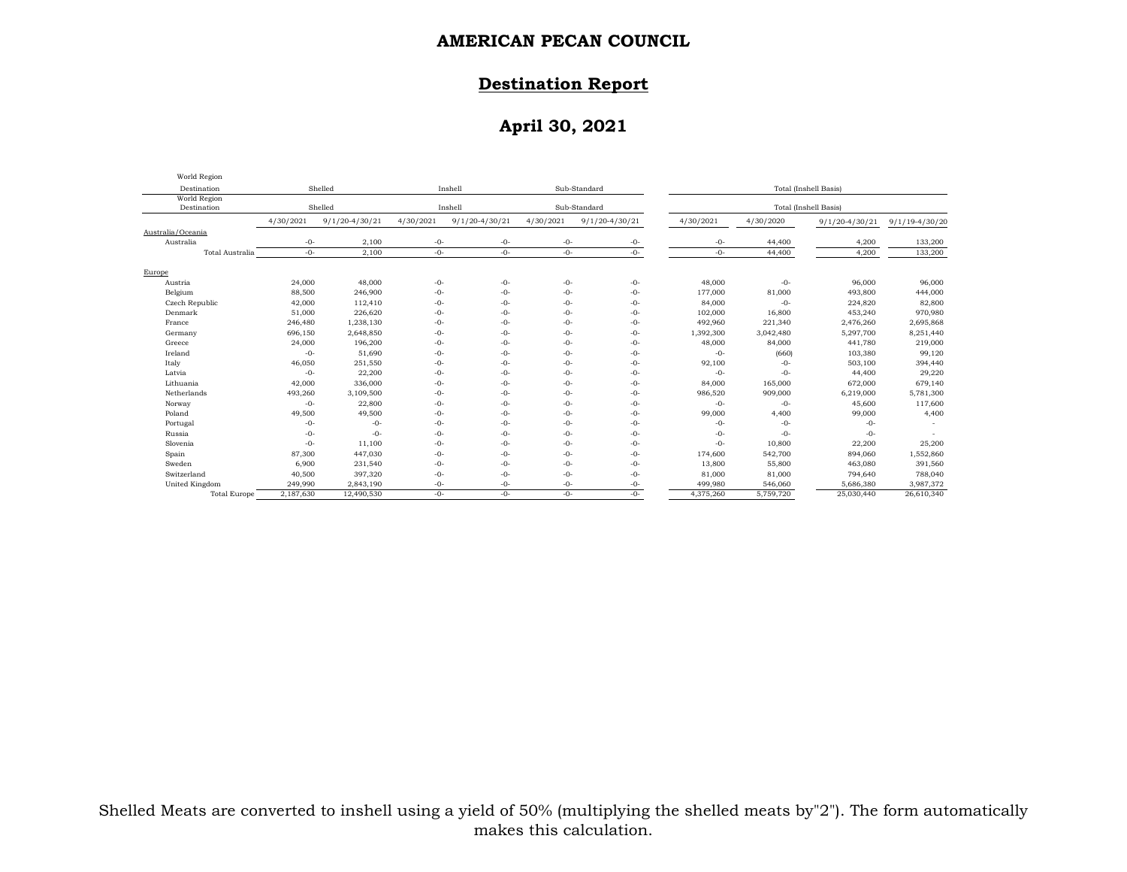### **Destination Report**

# **April 30, 2021**

| World Region                |           |                    |                         |                    |              |                    |                       |                       |                    |                    |  |
|-----------------------------|-----------|--------------------|-------------------------|--------------------|--------------|--------------------|-----------------------|-----------------------|--------------------|--------------------|--|
| Destination                 |           | Shelled            | Sub-Standard<br>Inshell |                    |              |                    | Total (Inshell Basis) |                       |                    |                    |  |
| World Region<br>Destination | Shelled   |                    |                         | Inshell            | Sub-Standard |                    |                       | Total (Inshell Basis) |                    |                    |  |
|                             | 4/30/2021 | $9/1/20 - 4/30/21$ | 4/30/2021               | $9/1/20 - 4/30/21$ | 4/30/2021    | $9/1/20 - 4/30/21$ | 4/30/2021             | 4/30/2020             | $9/1/20 - 4/30/21$ | $9/1/19 - 4/30/20$ |  |
| Australia/Oceania           |           |                    |                         |                    |              |                    |                       |                       |                    |                    |  |
| Australia                   | $-0-$     | 2,100              | $-0-$                   | $-0-$              | $-0-$        | $-0-$              | -0-                   | 44,400                | 4,200              | 133,200            |  |
| Total Australia             | $-0-$     | 2,100              | $-0-$                   | $-0-$              | $-0-$        | $-0-$              | $-0-$                 | 44,400                | 4,200              | 133,200            |  |
| Europe                      |           |                    |                         |                    |              |                    |                       |                       |                    |                    |  |
| Austria                     | 24,000    | 48,000             | $-0-$                   | $-0-$              | $-0-$        | $-0-$              | 48,000                | $-0-$                 | 96,000             | 96,000             |  |
| Belgium                     | 88,500    | 246,900            | $-0-$                   | $-0-$              | $-0-$        | $-0-$              | 177,000               | 81,000                | 493,800            | 444,000            |  |
| Czech Republic              | 42,000    | 112,410            | $-0-$                   | $-0-$              | $-0-$        | $-0-$              | 84,000                | $-0-$                 | 224,820            | 82,800             |  |
| Denmark                     | 51,000    | 226,620            | $-0-$                   | $-0-$              | $-0-$        | $-0-$              | 102,000               | 16,800                | 453,240            | 970,980            |  |
| France                      | 246,480   | 1,238,130          | $-0-$                   | $-0-$              | $-0-$        | $-0-$              | 492,960               | 221,340               | 2,476,260          | 2,695,868          |  |
| Germany                     | 696,150   | 2,648,850          | $-0-$                   | $-0-$              | $-0-$        | $-0-$              | 1,392,300             | 3,042,480             | 5,297,700          | 8,251,440          |  |
| Greece                      | 24,000    | 196,200            | $-0-$                   | $-0-$              | $-0-$        | $-0-$              | 48,000                | 84,000                | 441,780            | 219,000            |  |
| Ireland                     | $-0-$     | 51,690             | $-0-$                   | $-0-$              | $-0-$        | $-0-$              | $-0-$                 | (660)                 | 103,380            | 99,120             |  |
| Italy                       | 46,050    | 251,550            | $-0-$                   | $-0-$              | $-0-$        | $-0-$              | 92,100                | $-0-$                 | 503,100            | 394,440            |  |
| Latvia                      | $-0-$     | 22,200             | $-0-$                   | $-0-$              | $-0-$        | $-0-$              | $-0-$                 | $-0-$                 | 44,400             | 29,220             |  |
| Lithuania                   | 42,000    | 336,000            | $-0-$                   | $-0-$              | $-0-$        | $-0-$              | 84,000                | 165,000               | 672,000            | 679,140            |  |
| Netherlands                 | 493,260   | 3,109,500          | $-0-$                   | $-0-$              | $-0-$        | $-0-$              | 986,520               | 909,000               | 6,219,000          | 5,781,300          |  |
| Norway                      | $-0-$     | 22,800             | $-0-$                   | $-0-$              | $-0-$        | $-0-$              | $-0-$                 | $-0-$                 | 45,600             | 117,600            |  |
| Poland                      | 49,500    | 49,500             | $-0-$                   | $-0-$              | $-0-$        | $-0-$              | 99,000                | 4,400                 | 99,000             | 4,400              |  |
| Portugal                    | $-0-$     | $-0-$              | $-0-$                   | $-0-$              | $-0-$        | $-0-$              | $-0-$                 | $-0-$                 | $-0-$              |                    |  |
| Russia                      | $-0-$     | $-0-$              | $-0-$                   | $-0-$              | $-0-$        | $-0-$              | $-0-$                 | $-0-$                 | $-0-$              |                    |  |
| Slovenia                    | $-0-$     | 11,100             | $-0-$                   | $-0-$              | $-0-$        | $-0-$              | $-0-$                 | 10,800                | 22,200             | 25,200             |  |
| Spain                       | 87,300    | 447,030            | $-0-$                   | $-0-$              | $-0-$        | $-0-$              | 174,600               | 542,700               | 894,060            | 1,552,860          |  |
| Sweden                      | 6,900     | 231,540            | $-0-$                   | $-0-$              | $-0-$        | $-0-$              | 13,800                | 55,800                | 463,080            | 391,560            |  |
| Switzerland                 | 40,500    | 397,320            | $-0-$                   | $-0-$              | $-0-$        | $-0-$              | 81,000                | 81,000                | 794,640            | 788,040            |  |
| United Kingdom              | 249,990   | 2,843,190          | $-0-$                   | $-0-$              | $-0-$        | $-0-$              | 499,980               | 546,060               | 5,686,380          | 3,987,372          |  |
| <b>Total Europe</b>         | 2,187,630 | 12,490,530         | $-0-$                   | $-0-$              | $-0-$        | $-0-$              | 4,375,260             | 5,759,720             | 25,030,440         | 26,610,340         |  |

Shelled Meats are converted to inshell using a yield of 50% (multiplying the shelled meats by"2"). The form automatically makes this calculation.